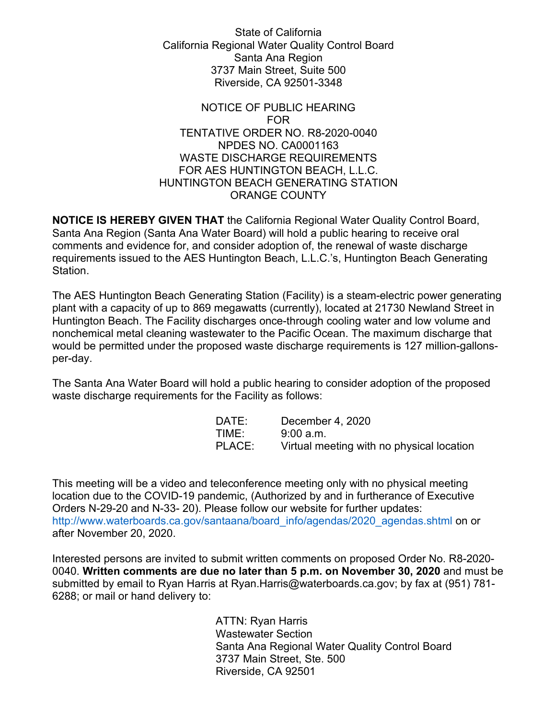State of California California Regional Water Quality Control Board Santa Ana Region 3737 Main Street, Suite 500 Riverside, CA 92501-3348

## NOTICE OF PUBLIC HEARING FOR TENTATIVE ORDER NO. R8-2020-0040 NPDES NO. CA0001163 WASTE DISCHARGE REQUIREMENTS FOR AES HUNTINGTON BEACH, L.L.C. HUNTINGTON BEACH GENERATING STATION ORANGE COUNTY

**NOTICE IS HEREBY GIVEN THAT** the California Regional Water Quality Control Board, Santa Ana Region (Santa Ana Water Board) will hold a public hearing to receive oral comments and evidence for, and consider adoption of, the renewal of waste discharge requirements issued to the AES Huntington Beach, L.L.C.'s, Huntington Beach Generating Station.

The AES Huntington Beach Generating Station (Facility) is a steam-electric power generating plant with a capacity of up to 869 megawatts (currently), located at 21730 Newland Street in Huntington Beach. The Facility discharges once-through cooling water and low volume and nonchemical metal cleaning wastewater to the Pacific Ocean. The maximum discharge that would be permitted under the proposed waste discharge requirements is 127 million-gallonsper-day.

The Santa Ana Water Board will hold a public hearing to consider adoption of the proposed waste discharge requirements for the Facility as follows:

| DATE:  | December 4, 2020                          |
|--------|-------------------------------------------|
| TIME:  | 9:00 a.m.                                 |
| PLACE: | Virtual meeting with no physical location |

This meeting will be a video and teleconference meeting only with no physical meeting location due to the COVID-19 pandemic, (Authorized by and in furtherance of Executive Orders N-29-20 and N-33- 20). Please follow our website for further updates: [http://www.waterboards.ca.gov/santaana/board\\_info/agendas/2020\\_agendas.shtml](http://www.waterboards.ca.gov/santaana/board_info/agendas/2020_agendas.shtml) on or after November 20, 2020.

Interested persons are invited to submit written comments on proposed Order No. R8-2020- 0040. **Written comments are due no later than 5 p.m. on November 30, 2020** and must be submitted by email to Ryan Harris at Ryan.Harris[@waterboards.ca.gov;](mailto:Ryan.Harris@waterboards.ca.gov) by fax at (951) 781- 6288; or mail or hand delivery to:

> ATTN: Ryan Harris Wastewater Section Santa Ana Regional Water Quality Control Board 3737 Main Street, Ste. 500 Riverside, CA 92501